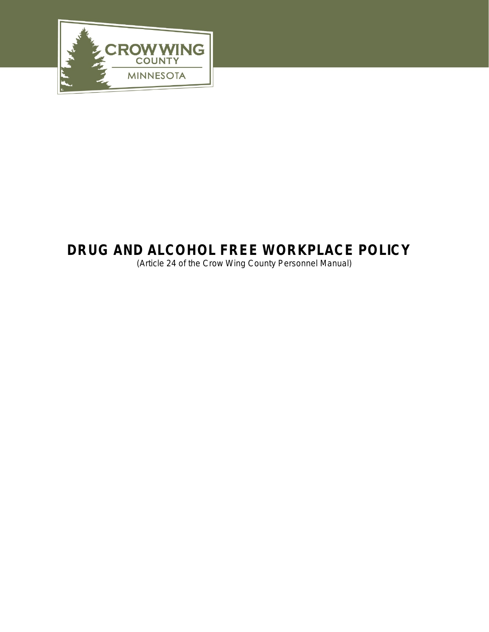

# **DRUG AND ALCOHOL FREE WORKPLACE POLICY**

(Article 24 of the Crow Wing County Personnel Manual)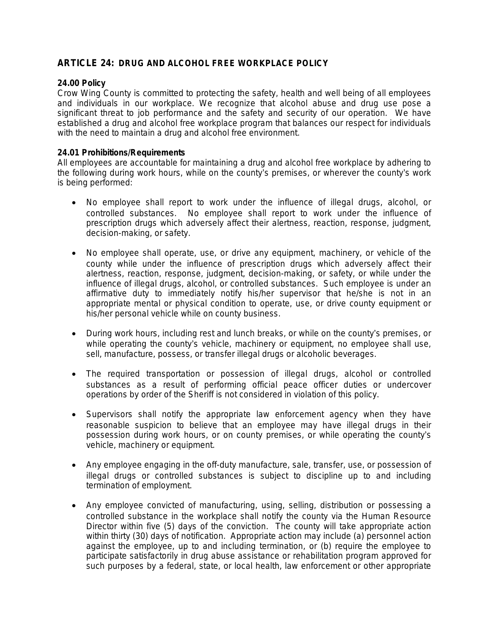## **ARTICLE 24: DRUG AND ALCOHOL FREE WORKPLACE POLICY**

## *24.00 Policy*

Crow Wing County is committed to protecting the safety, health and well being of all employees and individuals in our workplace. We recognize that alcohol abuse and drug use pose a significant threat to job performance and the safety and security of our operation. We have established a drug and alcohol free workplace program that balances our respect for individuals with the need to maintain a drug and alcohol free environment.

## *24.01 Prohibitions/Requirements*

All employees are accountable for maintaining a drug and alcohol free workplace by adhering to the following during work hours, while on the county's premises, or wherever the county's work is being performed:

- No employee shall report to work under the influence of illegal drugs, alcohol, or controlled substances. No employee shall report to work under the influence of prescription drugs which adversely affect their alertness, reaction, response, judgment, decision-making, or safety.
- No employee shall operate, use, or drive any equipment, machinery, or vehicle of the county while under the influence of prescription drugs which adversely affect their alertness, reaction, response, judgment, decision-making, or safety, or while under the influence of illegal drugs, alcohol, or controlled substances. Such employee is under an affirmative duty to immediately notify his/her supervisor that he/she is not in an appropriate mental or physical condition to operate, use, or drive county equipment or his/her personal vehicle while on county business.
- During work hours, including rest and lunch breaks, or while on the county's premises, or while operating the county's vehicle, machinery or equipment, no employee shall use, sell, manufacture, possess, or transfer illegal drugs or alcoholic beverages.
- The required transportation or possession of illegal drugs, alcohol or controlled substances as a result of performing official peace officer duties or undercover operations by order of the Sheriff is not considered in violation of this policy.
- Supervisors shall notify the appropriate law enforcement agency when they have reasonable suspicion to believe that an employee may have illegal drugs in their possession during work hours, or on county premises, or while operating the county's vehicle, machinery or equipment.
- Any employee engaging in the off-duty manufacture, sale, transfer, use, or possession of illegal drugs or controlled substances is subject to discipline up to and including termination of employment.
- Any employee convicted of manufacturing, using, selling, distribution or possessing a controlled substance in the workplace shall notify the county via the Human Resource Director within five (5) days of the conviction. The county will take appropriate action within thirty (30) days of notification. Appropriate action may include (a) personnel action against the employee, up to and including termination, or (b) require the employee to participate satisfactorily in drug abuse assistance or rehabilitation program approved for such purposes by a federal, state, or local health, law enforcement or other appropriate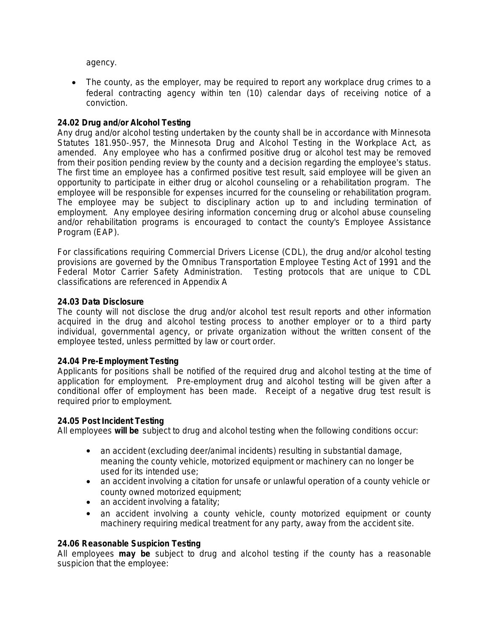agency.

 The county, as the employer, may be required to report any workplace drug crimes to a federal contracting agency within ten (10) calendar days of receiving notice of a conviction.

## *24.02 Drug and/or Alcohol Testing*

Any drug and/or alcohol testing undertaken by the county shall be in accordance with Minnesota Statutes 181.950-.957, the Minnesota Drug and Alcohol Testing in the Workplace Act, as amended. Any employee who has a confirmed positive drug or alcohol test may be removed from their position pending review by the county and a decision regarding the employee's status. The first time an employee has a confirmed positive test result, said employee will be given an opportunity to participate in either drug or alcohol counseling or a rehabilitation program. The employee will be responsible for expenses incurred for the counseling or rehabilitation program. The employee may be subject to disciplinary action up to and including termination of employment. Any employee desiring information concerning drug or alcohol abuse counseling and/or rehabilitation programs is encouraged to contact the county's Employee Assistance Program (EAP).

For classifications requiring Commercial Drivers License (CDL), the drug and/or alcohol testing provisions are governed by the Omnibus Transportation Employee Testing Act of 1991 and the Federal Motor Carrier Safety Administration. Testing protocols that are unique to CDL classifications are referenced in Appendix A

#### *24.03 Data Disclosure*

The county will not disclose the drug and/or alcohol test result reports and other information acquired in the drug and alcohol testing process to another employer or to a third party individual, governmental agency, or private organization without the written consent of the employee tested, unless permitted by law or court order.

#### *24.04 Pre-Employment Testing*

Applicants for positions shall be notified of the required drug and alcohol testing at the time of application for employment. Pre-employment drug and alcohol testing will be given after a conditional offer of employment has been made. Receipt of a negative drug test result is required prior to employment.

#### *24.05 Post Incident Testing*

All employees **will be** subject to drug and alcohol testing when the following conditions occur:

- an accident (excluding deer/animal incidents) resulting in substantial damage, meaning the county vehicle, motorized equipment or machinery can no longer be used for its intended use;
- an accident involving a citation for unsafe or unlawful operation of a county vehicle or county owned motorized equipment;
- an accident involving a fatality;
- an accident involving a county vehicle, county motorized equipment or county machinery requiring medical treatment for any party, away from the accident site.

#### *24.06 Reasonable Suspicion Testing*

All employees **may be** subject to drug and alcohol testing if the county has a reasonable suspicion that the employee: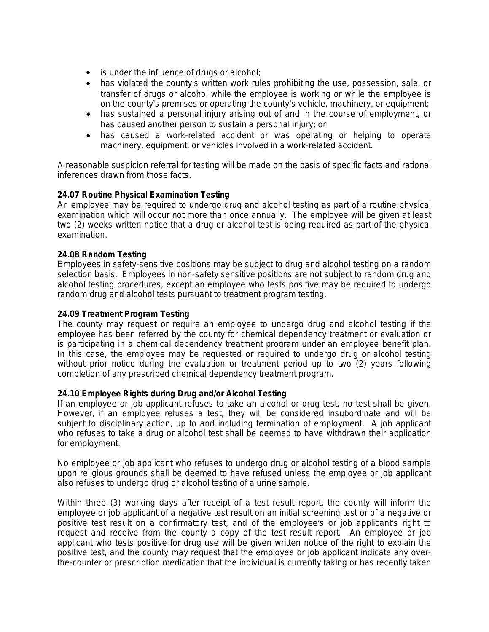- is under the influence of drugs or alcohol;
- has violated the county's written work rules prohibiting the use, possession, sale, or transfer of drugs or alcohol while the employee is working or while the employee is on the county's premises or operating the county's vehicle, machinery, or equipment;
- has sustained a personal injury arising out of and in the course of employment, or has caused another person to sustain a personal injury; or
- has caused a work-related accident or was operating or helping to operate machinery, equipment, or vehicles involved in a work-related accident.

A reasonable suspicion referral for testing will be made on the basis of specific facts and rational inferences drawn from those facts.

## *24.07 Routine Physical Examination Testing*

An employee may be required to undergo drug and alcohol testing as part of a routine physical examination which will occur not more than once annually. The employee will be given at least two (2) weeks written notice that a drug or alcohol test is being required as part of the physical examination.

## *24.08 Random Testing*

Employees in safety-sensitive positions may be subject to drug and alcohol testing on a random selection basis. Employees in non-safety sensitive positions are not subject to random drug and alcohol testing procedures, except an employee who tests positive may be required to undergo random drug and alcohol tests pursuant to treatment program testing.

#### *24.09 Treatment Program Testing*

The county may request or require an employee to undergo drug and alcohol testing if the employee has been referred by the county for chemical dependency treatment or evaluation or is participating in a chemical dependency treatment program under an employee benefit plan. In this case, the employee may be requested or required to undergo drug or alcohol testing without prior notice during the evaluation or treatment period up to two (2) years following completion of any prescribed chemical dependency treatment program.

#### *24.10 Employee Rights during Drug and/or Alcohol Testing*

If an employee or job applicant refuses to take an alcohol or drug test, no test shall be given. However, if an employee refuses a test, they will be considered insubordinate and will be subject to disciplinary action, up to and including termination of employment. A job applicant who refuses to take a drug or alcohol test shall be deemed to have withdrawn their application for employment.

No employee or job applicant who refuses to undergo drug or alcohol testing of a blood sample upon religious grounds shall be deemed to have refused unless the employee or job applicant also refuses to undergo drug or alcohol testing of a urine sample.

Within three (3) working days after receipt of a test result report, the county will inform the employee or job applicant of a negative test result on an initial screening test or of a negative or positive test result on a confirmatory test, and of the employee's or job applicant's right to request and receive from the county a copy of the test result report. An employee or job applicant who tests positive for drug use will be given written notice of the right to explain the positive test, and the county may request that the employee or job applicant indicate any overthe-counter or prescription medication that the individual is currently taking or has recently taken